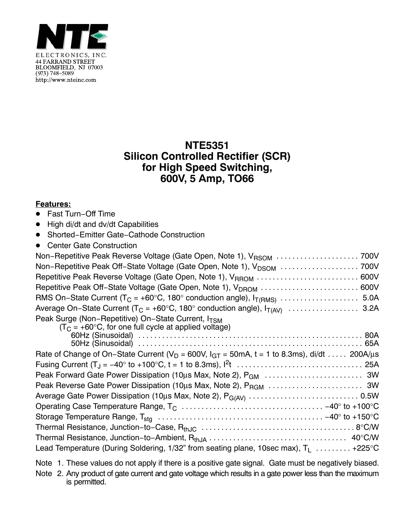

## **NTE5351 Silicon Controlled Rectifier (SCR) for High Speed Switching, 600V, 5 Amp, TO66**

## **Features:**

- $\bullet$ Fast Turn−Off Time
- High di/dt and dv/dt Capabilities
- Shorted−Emitter Gate−Cathode Construction
- **•** Center Gate Construction

| Non-Repetitive Peak Reverse Voltage (Gate Open, Note 1), VRSOM  700V                                                    |
|-------------------------------------------------------------------------------------------------------------------------|
| Non-Repetitive Peak Off-State Voltage (Gate Open, Note 1), V <sub>DSOM</sub> 700V                                       |
| Repetitive Peak Reverse Voltage (Gate Open, Note 1), V <sub>RROM</sub> 600V                                             |
|                                                                                                                         |
|                                                                                                                         |
|                                                                                                                         |
| Peak Surge (Non-Repetitive) On-State Current, I <sub>TSM</sub><br>$(TC = +60°C,$ for one full cycle at applied voltage) |
|                                                                                                                         |
| Rate of Change of On-State Current ( $V_D$ = 600V, $I_{GT}$ = 50mA, t = 1 to 8.3ms), di/dt  200A/ $\mu$ s               |
|                                                                                                                         |
|                                                                                                                         |
|                                                                                                                         |
|                                                                                                                         |
|                                                                                                                         |
|                                                                                                                         |
|                                                                                                                         |
|                                                                                                                         |
| Lead Temperature (During Soldering, 1/32" from seating plane, 10sec max), $T_1$ +225°C                                  |

Note 1. These values do not apply if there is a positive gate signal. Gate must be negatively biased. Note 2. Any product of gate current and gate voltage which results in a gate power less than the maximum is permitted.